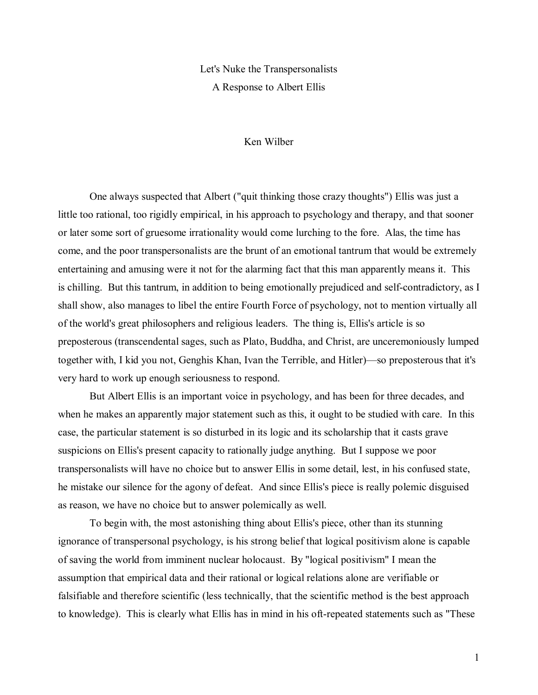## Let's Nuke the Transpersonalists A Response to Albert Ellis

## Ken Wilber

 One always suspected that Albert ("quit thinking those crazy thoughts") Ellis was just a little too rational, too rigidly empirical, in his approach to psychology and therapy, and that sooner or later some sort of gruesome irrationality would come lurching to the fore. Alas, the time has come, and the poor transpersonalists are the brunt of an emotional tantrum that would be extremely entertaining and amusing were it not for the alarming fact that this man apparently means it. This is chilling. But this tantrum, in addition to being emotionally prejudiced and self-contradictory, as I shall show, also manages to libel the entire Fourth Force of psychology, not to mention virtually all of the world's great philosophers and religious leaders. The thing is, Ellis's article is so preposterous (transcendental sages, such as Plato, Buddha, and Christ, are unceremoniously lumped together with, I kid you not, Genghis Khan, Ivan the Terrible, and Hitler)—so preposterous that it's very hard to work up enough seriousness to respond.

 But Albert Ellis is an important voice in psychology, and has been for three decades, and when he makes an apparently major statement such as this, it ought to be studied with care. In this case, the particular statement is so disturbed in its logic and its scholarship that it casts grave suspicions on Ellis's present capacity to rationally judge anything. But I suppose we poor transpersonalists will have no choice but to answer Ellis in some detail, lest, in his confused state, he mistake our silence for the agony of defeat. And since Ellis's piece is really polemic disguised as reason, we have no choice but to answer polemically as well.

 To begin with, the most astonishing thing about Ellis's piece, other than its stunning ignorance of transpersonal psychology, is his strong belief that logical positivism alone is capable of saving the world from imminent nuclear holocaust. By "logical positivism" I mean the assumption that empirical data and their rational or logical relations alone are verifiable or falsifiable and therefore scientific (less technically, that the scientific method is the best approach to knowledge). This is clearly what Ellis has in mind in his oft-repeated statements such as "These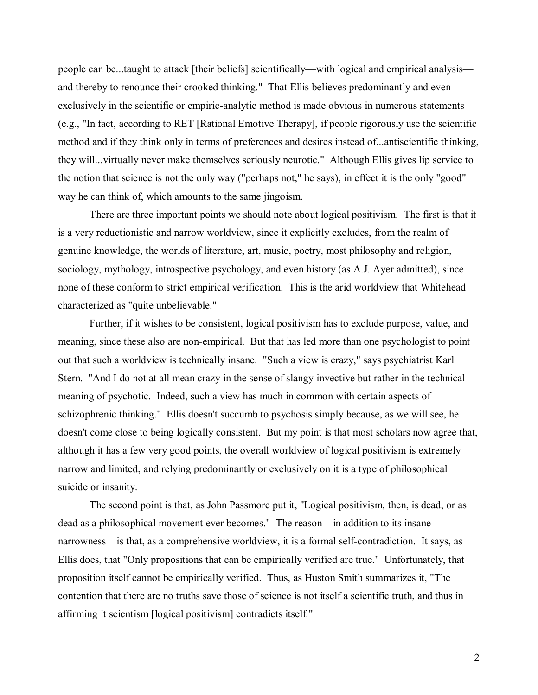people can be...taught to attack [their beliefs] scientifically—with logical and empirical analysis and thereby to renounce their crooked thinking." That Ellis believes predominantly and even exclusively in the scientific or empiric-analytic method is made obvious in numerous statements (e.g., "In fact, according to RET [Rational Emotive Therapy], if people rigorously use the scientific method and if they think only in terms of preferences and desires instead of...antiscientific thinking, they will...virtually never make themselves seriously neurotic." Although Ellis gives lip service to the notion that science is not the only way ("perhaps not," he says), in effect it is the only "good" way he can think of, which amounts to the same jingoism.

 There are three important points we should note about logical positivism. The first is that it is a very reductionistic and narrow worldview, since it explicitly excludes, from the realm of genuine knowledge, the worlds of literature, art, music, poetry, most philosophy and religion, sociology, mythology, introspective psychology, and even history (as A.J. Ayer admitted), since none of these conform to strict empirical verification. This is the arid worldview that Whitehead characterized as "quite unbelievable."

 Further, if it wishes to be consistent, logical positivism has to exclude purpose, value, and meaning, since these also are non-empirical. But that has led more than one psychologist to point out that such a worldview is technically insane. "Such a view is crazy," says psychiatrist Karl Stern. "And I do not at all mean crazy in the sense of slangy invective but rather in the technical meaning of psychotic. Indeed, such a view has much in common with certain aspects of schizophrenic thinking." Ellis doesn't succumb to psychosis simply because, as we will see, he doesn't come close to being logically consistent. But my point is that most scholars now agree that, although it has a few very good points, the overall worldview of logical positivism is extremely narrow and limited, and relying predominantly or exclusively on it is a type of philosophical suicide or insanity.

 The second point is that, as John Passmore put it, "Logical positivism, then, is dead, or as dead as a philosophical movement ever becomes." The reason—in addition to its insane narrowness—is that, as a comprehensive worldview, it is a formal self-contradiction. It says, as Ellis does, that "Only propositions that can be empirically verified are true." Unfortunately, that proposition itself cannot be empirically verified. Thus, as Huston Smith summarizes it, "The contention that there are no truths save those of science is not itself a scientific truth, and thus in affirming it scientism [logical positivism] contradicts itself."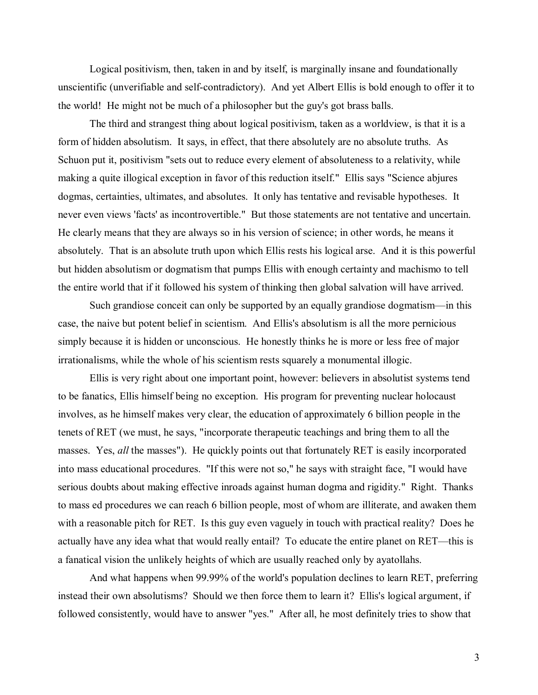Logical positivism, then, taken in and by itself, is marginally insane and foundationally unscientific (unverifiable and self-contradictory). And yet Albert Ellis is bold enough to offer it to the world! He might not be much of a philosopher but the guy's got brass balls.

 The third and strangest thing about logical positivism, taken as a worldview, is that it is a form of hidden absolutism. It says, in effect, that there absolutely are no absolute truths. As Schuon put it, positivism "sets out to reduce every element of absoluteness to a relativity, while making a quite illogical exception in favor of this reduction itself." Ellis says "Science abjures dogmas, certainties, ultimates, and absolutes. It only has tentative and revisable hypotheses. It never even views 'facts' as incontrovertible." But those statements are not tentative and uncertain. He clearly means that they are always so in his version of science; in other words, he means it absolutely. That is an absolute truth upon which Ellis rests his logical arse. And it is this powerful but hidden absolutism or dogmatism that pumps Ellis with enough certainty and machismo to tell the entire world that if it followed his system of thinking then global salvation will have arrived.

Such grandiose conceit can only be supported by an equally grandiose dogmatism—in this case, the naive but potent belief in scientism. And Ellis's absolutism is all the more pernicious simply because it is hidden or unconscious. He honestly thinks he is more or less free of major irrationalisms, while the whole of his scientism rests squarely a monumental illogic.

 Ellis is very right about one important point, however: believers in absolutist systems tend to be fanatics, Ellis himself being no exception. His program for preventing nuclear holocaust involves, as he himself makes very clear, the education of approximately 6 billion people in the tenets of RET (we must, he says, "incorporate therapeutic teachings and bring them to all the masses. Yes, *all* the masses"). He quickly points out that fortunately RET is easily incorporated into mass educational procedures. "If this were not so," he says with straight face, "I would have serious doubts about making effective inroads against human dogma and rigidity." Right. Thanks to mass ed procedures we can reach 6 billion people, most of whom are illiterate, and awaken them with a reasonable pitch for RET. Is this guy even vaguely in touch with practical reality? Does he actually have any idea what that would really entail? To educate the entire planet on RET—this is a fanatical vision the unlikely heights of which are usually reached only by ayatollahs.

 And what happens when 99.99% of the world's population declines to learn RET, preferring instead their own absolutisms? Should we then force them to learn it? Ellis's logical argument, if followed consistently, would have to answer "yes." After all, he most definitely tries to show that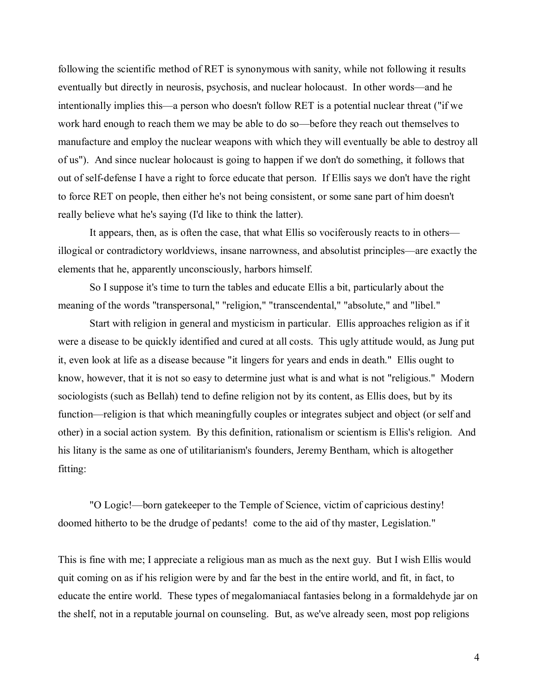following the scientific method of RET is synonymous with sanity, while not following it results eventually but directly in neurosis, psychosis, and nuclear holocaust. In other words—and he intentionally implies this—a person who doesn't follow RET is a potential nuclear threat ("if we work hard enough to reach them we may be able to do so—before they reach out themselves to manufacture and employ the nuclear weapons with which they will eventually be able to destroy all of us"). And since nuclear holocaust is going to happen if we don't do something, it follows that out of self-defense I have a right to force educate that person. If Ellis says we don't have the right to force RET on people, then either he's not being consistent, or some sane part of him doesn't really believe what he's saying (I'd like to think the latter).

It appears, then, as is often the case, that what Ellis so vociferously reacts to in others illogical or contradictory worldviews, insane narrowness, and absolutist principles—are exactly the elements that he, apparently unconsciously, harbors himself.

 So I suppose it's time to turn the tables and educate Ellis a bit, particularly about the meaning of the words "transpersonal," "religion," "transcendental," "absolute," and "libel."

 Start with religion in general and mysticism in particular. Ellis approaches religion as if it were a disease to be quickly identified and cured at all costs. This ugly attitude would, as Jung put it, even look at life as a disease because "it lingers for years and ends in death." Ellis ought to know, however, that it is not so easy to determine just what is and what is not "religious." Modern sociologists (such as Bellah) tend to define religion not by its content, as Ellis does, but by its function—religion is that which meaningfully couples or integrates subject and object (or self and other) in a social action system. By this definition, rationalism or scientism is Ellis's religion. And his litany is the same as one of utilitarianism's founders, Jeremy Bentham, which is altogether fitting:

"O Logic!—born gatekeeper to the Temple of Science, victim of capricious destiny! doomed hitherto to be the drudge of pedants! come to the aid of thy master, Legislation."

This is fine with me; I appreciate a religious man as much as the next guy. But I wish Ellis would quit coming on as if his religion were by and far the best in the entire world, and fit, in fact, to educate the entire world. These types of megalomaniacal fantasies belong in a formaldehyde jar on the shelf, not in a reputable journal on counseling. But, as we've already seen, most pop religions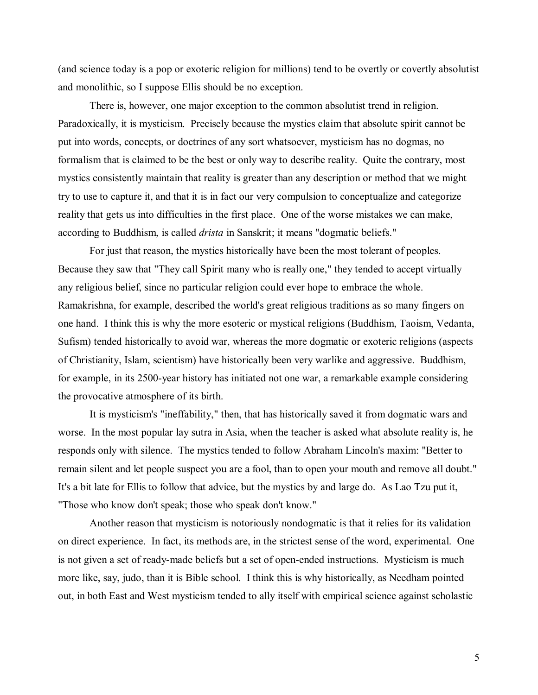(and science today is a pop or exoteric religion for millions) tend to be overtly or covertly absolutist and monolithic, so I suppose Ellis should be no exception.

 There is, however, one major exception to the common absolutist trend in religion. Paradoxically, it is mysticism. Precisely because the mystics claim that absolute spirit cannot be put into words, concepts, or doctrines of any sort whatsoever, mysticism has no dogmas, no formalism that is claimed to be the best or only way to describe reality. Quite the contrary, most mystics consistently maintain that reality is greater than any description or method that we might try to use to capture it, and that it is in fact our very compulsion to conceptualize and categorize reality that gets us into difficulties in the first place. One of the worse mistakes we can make, according to Buddhism, is called *drista* in Sanskrit; it means "dogmatic beliefs."

 For just that reason, the mystics historically have been the most tolerant of peoples. Because they saw that "They call Spirit many who is really one," they tended to accept virtually any religious belief, since no particular religion could ever hope to embrace the whole. Ramakrishna, for example, described the world's great religious traditions as so many fingers on one hand. I think this is why the more esoteric or mystical religions (Buddhism, Taoism, Vedanta, Sufism) tended historically to avoid war, whereas the more dogmatic or exoteric religions (aspects of Christianity, Islam, scientism) have historically been very warlike and aggressive. Buddhism, for example, in its 2500-year history has initiated not one war, a remarkable example considering the provocative atmosphere of its birth.

 It is mysticism's "ineffability," then, that has historically saved it from dogmatic wars and worse. In the most popular lay sutra in Asia, when the teacher is asked what absolute reality is, he responds only with silence. The mystics tended to follow Abraham Lincoln's maxim: "Better to remain silent and let people suspect you are a fool, than to open your mouth and remove all doubt." It's a bit late for Ellis to follow that advice, but the mystics by and large do. As Lao Tzu put it, "Those who know don't speak; those who speak don't know."

 Another reason that mysticism is notoriously nondogmatic is that it relies for its validation on direct experience. In fact, its methods are, in the strictest sense of the word, experimental. One is not given a set of ready-made beliefs but a set of open-ended instructions. Mysticism is much more like, say, judo, than it is Bible school. I think this is why historically, as Needham pointed out, in both East and West mysticism tended to ally itself with empirical science against scholastic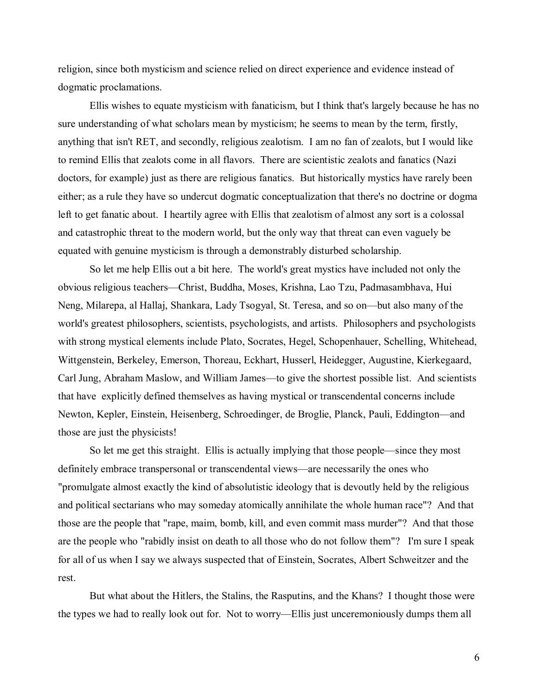religion, since both mysticism and science relied on direct experience and evidence instead of dogmatic proclamations.

 Ellis wishes to equate mysticism with fanaticism, but I think that's largely because he has no sure understanding of what scholars mean by mysticism; he seems to mean by the term, firstly, anything that isn't RET, and secondly, religious zealotism. I am no fan of zealots, but I would like to remind Ellis that zealots come in all flavors. There are scientistic zealots and fanatics (Nazi doctors, for example) just as there are religious fanatics. But historically mystics have rarely been either; as a rule they have so undercut dogmatic conceptualization that there's no doctrine or dogma left to get fanatic about. I heartily agree with Ellis that zealotism of almost any sort is a colossal and catastrophic threat to the modern world, but the only way that threat can even vaguely be equated with genuine mysticism is through a demonstrably disturbed scholarship.

 So let me help Ellis out a bit here. The world's great mystics have included not only the obvious religious teachers—Christ, Buddha, Moses, Krishna, Lao Tzu, Padmasambhava, Hui Neng, Milarepa, al Hallaj, Shankara, Lady Tsogyal, St. Teresa, and so on—but also many of the world's greatest philosophers, scientists, psychologists, and artists. Philosophers and psychologists with strong mystical elements include Plato, Socrates, Hegel, Schopenhauer, Schelling, Whitehead, Wittgenstein, Berkeley, Emerson, Thoreau, Eckhart, Husserl, Heidegger, Augustine, Kierkegaard, Carl Jung, Abraham Maslow, and William James—to give the shortest possible list. And scientists that have explicitly defined themselves as having mystical or transcendental concerns include Newton, Kepler, Einstein, Heisenberg, Schroedinger, de Broglie, Planck, Pauli, Eddington—and those are just the physicists!

So let me get this straight. Ellis is actually implying that those people—since they most definitely embrace transpersonal or transcendental views—are necessarily the ones who "promulgate almost exactly the kind of absolutistic ideology that is devoutly held by the religious and political sectarians who may someday atomically annihilate the whole human race"? And that those are the people that "rape, maim, bomb, kill, and even commit mass murder"? And that those are the people who "rabidly insist on death to all those who do not follow them"? I'm sure I speak for all of us when I say we always suspected that of Einstein, Socrates, Albert Schweitzer and the rest.

 But what about the Hitlers, the Stalins, the Rasputins, and the Khans? I thought those were the types we had to really look out for. Not to worry—Ellis just unceremoniously dumps them all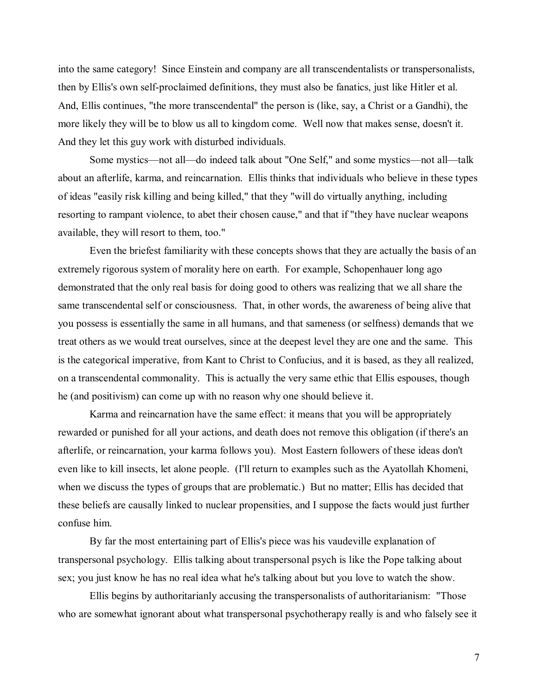into the same category! Since Einstein and company are all transcendentalists or transpersonalists, then by Ellis's own self-proclaimed definitions, they must also be fanatics, just like Hitler et al. And, Ellis continues, "the more transcendental" the person is (like, say, a Christ or a Gandhi), the more likely they will be to blow us all to kingdom come. Well now that makes sense, doesn't it. And they let this guy work with disturbed individuals.

Some mystics—not all—do indeed talk about "One Self," and some mystics—not all—talk about an afterlife, karma, and reincarnation. Ellis thinks that individuals who believe in these types of ideas "easily risk killing and being killed," that they "will do virtually anything, including resorting to rampant violence, to abet their chosen cause," and that if "they have nuclear weapons available, they will resort to them, too."

 Even the briefest familiarity with these concepts shows that they are actually the basis of an extremely rigorous system of morality here on earth. For example, Schopenhauer long ago demonstrated that the only real basis for doing good to others was realizing that we all share the same transcendental self or consciousness. That, in other words, the awareness of being alive that you possess is essentially the same in all humans, and that sameness (or selfness) demands that we treat others as we would treat ourselves, since at the deepest level they are one and the same. This is the categorical imperative, from Kant to Christ to Confucius, and it is based, as they all realized, on a transcendental commonality. This is actually the very same ethic that Ellis espouses, though he (and positivism) can come up with no reason why one should believe it.

 Karma and reincarnation have the same effect: it means that you will be appropriately rewarded or punished for all your actions, and death does not remove this obligation (if there's an afterlife, or reincarnation, your karma follows you). Most Eastern followers of these ideas don't even like to kill insects, let alone people. (I'll return to examples such as the Ayatollah Khomeni, when we discuss the types of groups that are problematic.) But no matter; Ellis has decided that these beliefs are causally linked to nuclear propensities, and I suppose the facts would just further confuse him.

 By far the most entertaining part of Ellis's piece was his vaudeville explanation of transpersonal psychology. Ellis talking about transpersonal psych is like the Pope talking about sex; you just know he has no real idea what he's talking about but you love to watch the show.

 Ellis begins by authoritarianly accusing the transpersonalists of authoritarianism: "Those who are somewhat ignorant about what transpersonal psychotherapy really is and who falsely see it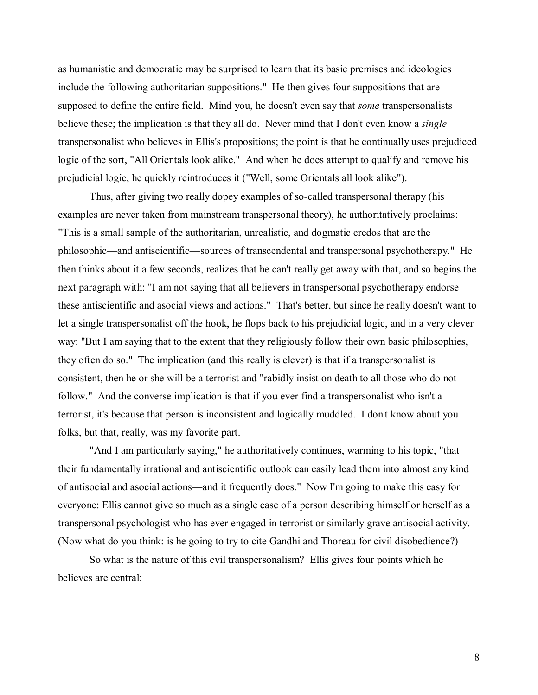as humanistic and democratic may be surprised to learn that its basic premises and ideologies include the following authoritarian suppositions." He then gives four suppositions that are supposed to define the entire field. Mind you, he doesn't even say that *some* transpersonalists believe these; the implication is that they all do. Never mind that I don't even know a *single* transpersonalist who believes in Ellis's propositions; the point is that he continually uses prejudiced logic of the sort, "All Orientals look alike." And when he does attempt to qualify and remove his prejudicial logic, he quickly reintroduces it ("Well, some Orientals all look alike").

 Thus, after giving two really dopey examples of so-called transpersonal therapy (his examples are never taken from mainstream transpersonal theory), he authoritatively proclaims: "This is a small sample of the authoritarian, unrealistic, and dogmatic credos that are the philosophic—and antiscientific—sources of transcendental and transpersonal psychotherapy." He then thinks about it a few seconds, realizes that he can't really get away with that, and so begins the next paragraph with: "I am not saying that all believers in transpersonal psychotherapy endorse these antiscientific and asocial views and actions." That's better, but since he really doesn't want to let a single transpersonalist off the hook, he flops back to his prejudicial logic, and in a very clever way: "But I am saying that to the extent that they religiously follow their own basic philosophies, they often do so." The implication (and this really is clever) is that if a transpersonalist is consistent, then he or she will be a terrorist and "rabidly insist on death to all those who do not follow." And the converse implication is that if you ever find a transpersonalist who isn't a terrorist, it's because that person is inconsistent and logically muddled. I don't know about you folks, but that, really, was my favorite part.

 "And I am particularly saying," he authoritatively continues, warming to his topic, "that their fundamentally irrational and antiscientific outlook can easily lead them into almost any kind of antisocial and asocial actions—and it frequently does." Now I'm going to make this easy for everyone: Ellis cannot give so much as a single case of a person describing himself or herself as a transpersonal psychologist who has ever engaged in terrorist or similarly grave antisocial activity. (Now what do you think: is he going to try to cite Gandhi and Thoreau for civil disobedience?)

 So what is the nature of this evil transpersonalism? Ellis gives four points which he believes are central: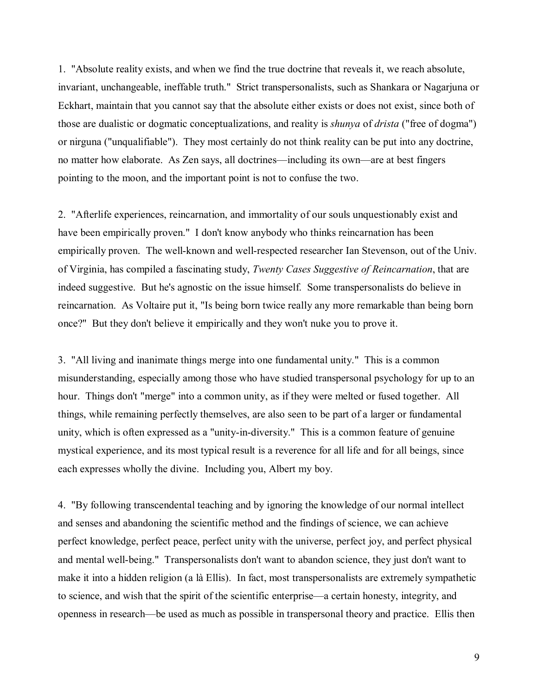1. "Absolute reality exists, and when we find the true doctrine that reveals it, we reach absolute, invariant, unchangeable, ineffable truth." Strict transpersonalists, such as Shankara or Nagarjuna or Eckhart, maintain that you cannot say that the absolute either exists or does not exist, since both of those are dualistic or dogmatic conceptualizations, and reality is *shunya* of *drista* ("free of dogma") or nirguna ("unqualifiable"). They most certainly do not think reality can be put into any doctrine, no matter how elaborate. As Zen says, all doctrines—including its own—are at best fingers pointing to the moon, and the important point is not to confuse the two.

2. "Afterlife experiences, reincarnation, and immortality of our souls unquestionably exist and have been empirically proven." I don't know anybody who thinks reincarnation has been empirically proven. The well-known and well-respected researcher Ian Stevenson, out of the Univ. of Virginia, has compiled a fascinating study, *Twenty Cases Suggestive of Reincarnation*, that are indeed suggestive. But he's agnostic on the issue himself. Some transpersonalists do believe in reincarnation. As Voltaire put it, "Is being born twice really any more remarkable than being born once?" But they don't believe it empirically and they won't nuke you to prove it.

3. "All living and inanimate things merge into one fundamental unity." This is a common misunderstanding, especially among those who have studied transpersonal psychology for up to an hour. Things don't "merge" into a common unity, as if they were melted or fused together. All things, while remaining perfectly themselves, are also seen to be part of a larger or fundamental unity, which is often expressed as a "unity-in-diversity." This is a common feature of genuine mystical experience, and its most typical result is a reverence for all life and for all beings, since each expresses wholly the divine. Including you, Albert my boy.

4. "By following transcendental teaching and by ignoring the knowledge of our normal intellect and senses and abandoning the scientific method and the findings of science, we can achieve perfect knowledge, perfect peace, perfect unity with the universe, perfect joy, and perfect physical and mental well-being." Transpersonalists don't want to abandon science, they just don't want to make it into a hidden religion (a là Ellis). In fact, most transpersonalists are extremely sympathetic to science, and wish that the spirit of the scientific enterprise—a certain honesty, integrity, and openness in research—be used as much as possible in transpersonal theory and practice. Ellis then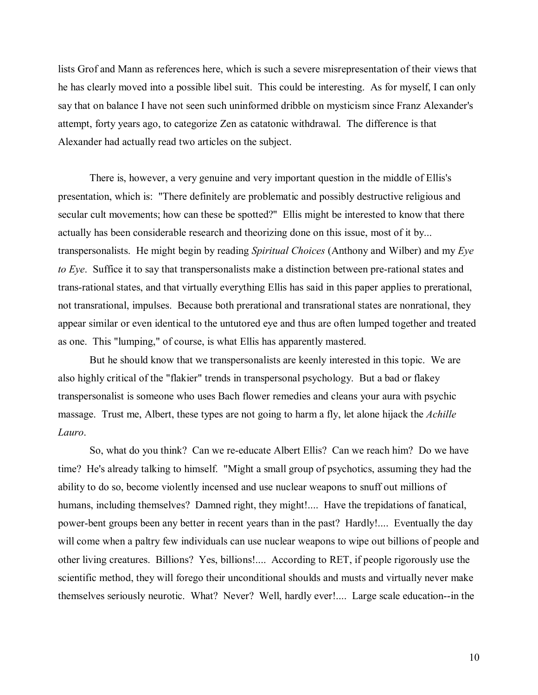lists Grof and Mann as references here, which is such a severe misrepresentation of their views that he has clearly moved into a possible libel suit. This could be interesting. As for myself, I can only say that on balance I have not seen such uninformed dribble on mysticism since Franz Alexander's attempt, forty years ago, to categorize Zen as catatonic withdrawal. The difference is that Alexander had actually read two articles on the subject.

 There is, however, a very genuine and very important question in the middle of Ellis's presentation, which is: "There definitely are problematic and possibly destructive religious and secular cult movements; how can these be spotted?" Ellis might be interested to know that there actually has been considerable research and theorizing done on this issue, most of it by... transpersonalists. He might begin by reading *Spiritual Choices* (Anthony and Wilber) and my *Eye to Eye*. Suffice it to say that transpersonalists make a distinction between pre-rational states and trans-rational states, and that virtually everything Ellis has said in this paper applies to prerational, not transrational, impulses. Because both prerational and transrational states are nonrational, they appear similar or even identical to the untutored eye and thus are often lumped together and treated as one. This "lumping," of course, is what Ellis has apparently mastered.

 But he should know that we transpersonalists are keenly interested in this topic. We are also highly critical of the "flakier" trends in transpersonal psychology. But a bad or flakey transpersonalist is someone who uses Bach flower remedies and cleans your aura with psychic massage. Trust me, Albert, these types are not going to harm a fly, let alone hijack the *Achille Lauro*.

 So, what do you think? Can we re-educate Albert Ellis? Can we reach him? Do we have time? He's already talking to himself. "Might a small group of psychotics, assuming they had the ability to do so, become violently incensed and use nuclear weapons to snuff out millions of humans, including themselves? Damned right, they might!.... Have the trepidations of fanatical, power-bent groups been any better in recent years than in the past? Hardly!.... Eventually the day will come when a paltry few individuals can use nuclear weapons to wipe out billions of people and other living creatures. Billions? Yes, billions!.... According to RET, if people rigorously use the scientific method, they will forego their unconditional shoulds and musts and virtually never make themselves seriously neurotic. What? Never? Well, hardly ever!.... Large scale education--in the